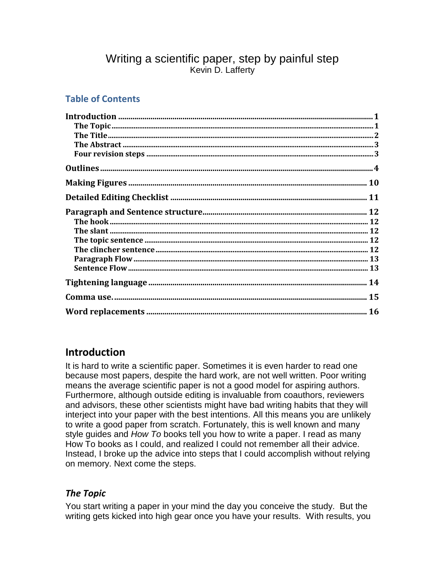### Writing a scientific paper, step by painful step Kevin D. Lafferty

### **Table of Contents**

### **Introduction**

It is hard to write a scientific paper. Sometimes it is even harder to read one because most papers, despite the hard work, are not well written. Poor writing means the average scientific paper is not a good model for aspiring authors. Furthermore, although outside editing is invaluable from coauthors, reviewers and advisors, these other scientists might have bad writing habits that they will interject into your paper with the best intentions. All this means you are unlikely to write a good paper from scratch. Fortunately, this is well known and many style guides and *How To* books tell you how to write a paper. I read as many How To books as I could, and realized I could not remember all their advice. Instead, I broke up the advice into steps that I could accomplish without relying on memory. Next come the steps.

### *The Topic*

You start writing a paper in your mind the day you conceive the study. But the writing gets kicked into high gear once you have your results. With results, you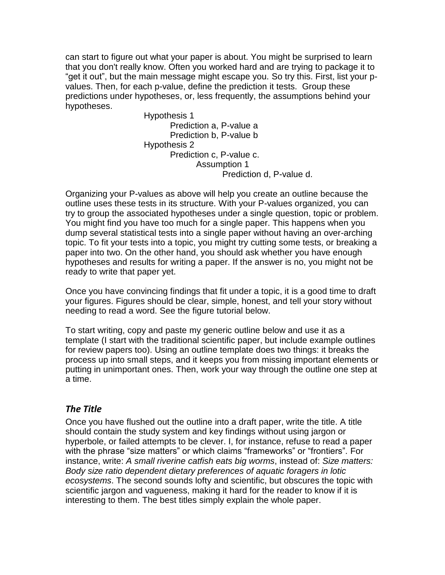can start to figure out what your paper is about. You might be surprised to learn that you don't really know. Often you worked hard and are trying to package it to "get it out", but the main message might escape you. So try this. First, list your pvalues. Then, for each p-value, define the prediction it tests. Group these predictions under hypotheses, or, less frequently, the assumptions behind your hypotheses.

Hypothesis 1 Prediction a, P-value a Prediction b, P-value b Hypothesis 2 Prediction c, P-value c. Assumption 1 Prediction d, P-value d.

Organizing your P-values as above will help you create an outline because the outline uses these tests in its structure. With your P-values organized, you can try to group the associated hypotheses under a single question, topic or problem. You might find you have too much for a single paper. This happens when you dump several statistical tests into a single paper without having an over-arching topic. To fit your tests into a topic, you might try cutting some tests, or breaking a paper into two. On the other hand, you should ask whether you have enough hypotheses and results for writing a paper. If the answer is no, you might not be ready to write that paper yet.

Once you have convincing findings that fit under a topic, it is a good time to draft your figures. Figures should be clear, simple, honest, and tell your story without needing to read a word. See the figure tutorial below.

To start writing, copy and paste my generic outline below and use it as a template (I start with the traditional scientific paper, but include example outlines for review papers too). Using an outline template does two things: it breaks the process up into small steps, and it keeps you from missing important elements or putting in unimportant ones. Then, work your way through the outline one step at a time.

#### *The Title*

Once you have flushed out the outline into a draft paper, write the title. A title should contain the study system and key findings without using jargon or hyperbole, or failed attempts to be clever. I, for instance, refuse to read a paper with the phrase "size matters" or which claims "frameworks" or "frontiers". For instance, write: *A small riverine catfish eats big worms*, instead of: *Size matters: Body size ratio dependent dietary preferences of aquatic foragers in lotic ecosystems*. The second sounds lofty and scientific, but obscures the topic with scientific jargon and vagueness, making it hard for the reader to know if it is interesting to them. The best titles simply explain the whole paper.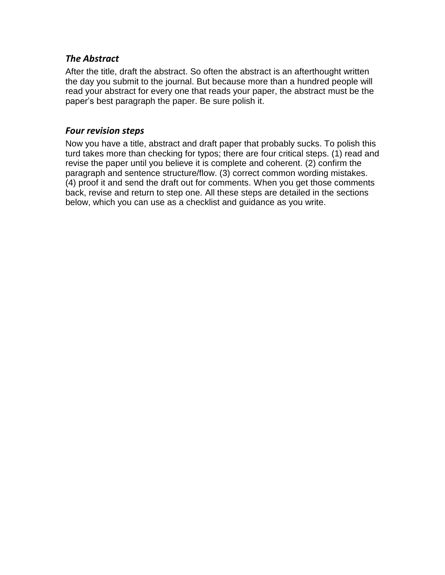#### *The Abstract*

After the title, draft the abstract. So often the abstract is an afterthought written the day you submit to the journal. But because more than a hundred people will read your abstract for every one that reads your paper, the abstract must be the paper's best paragraph the paper. Be sure polish it.

#### *Four revision steps*

Now you have a title, abstract and draft paper that probably sucks. To polish this turd takes more than checking for typos; there are four critical steps. (1) read and revise the paper until you believe it is complete and coherent. (2) confirm the paragraph and sentence structure/flow. (3) correct common wording mistakes. (4) proof it and send the draft out for comments. When you get those comments back, revise and return to step one. All these steps are detailed in the sections below, which you can use as a checklist and guidance as you write.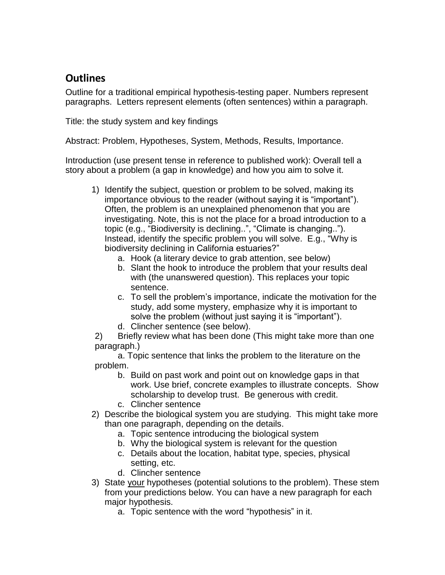## **Outlines**

Outline for a traditional empirical hypothesis-testing paper. Numbers represent paragraphs. Letters represent elements (often sentences) within a paragraph.

Title: the study system and key findings

Abstract: Problem, Hypotheses, System, Methods, Results, Importance.

Introduction (use present tense in reference to published work): Overall tell a story about a problem (a gap in knowledge) and how you aim to solve it.

- 1) Identify the subject, question or problem to be solved, making its importance obvious to the reader (without saying it is "important"). Often, the problem is an unexplained phenomenon that you are investigating. Note, this is not the place for a broad introduction to a topic (e.g., "Biodiversity is declining..", "Climate is changing.."). Instead, identify the specific problem you will solve. E.g., "Why is biodiversity declining in California estuaries?"
	- a. Hook (a literary device to grab attention, see below)
	- b. Slant the hook to introduce the problem that your results deal with (the unanswered question). This replaces your topic sentence.
	- c. To sell the problem's importance, indicate the motivation for the study, add some mystery, emphasize why it is important to solve the problem (without just saying it is "important").
	- d. Clincher sentence (see below).

2) Briefly review what has been done (This might take more than one paragraph.)

a. Topic sentence that links the problem to the literature on the problem.

- b. Build on past work and point out on knowledge gaps in that work. Use brief, concrete examples to illustrate concepts. Show scholarship to develop trust. Be generous with credit.
- c. Clincher sentence
- 2) Describe the biological system you are studying. This might take more than one paragraph, depending on the details.
	- a. Topic sentence introducing the biological system
	- b. Why the biological system is relevant for the question
	- c. Details about the location, habitat type, species, physical setting, etc.
	- d. Clincher sentence
- 3) State your hypotheses (potential solutions to the problem). These stem from your predictions below. You can have a new paragraph for each major hypothesis.
	- a. Topic sentence with the word "hypothesis" in it.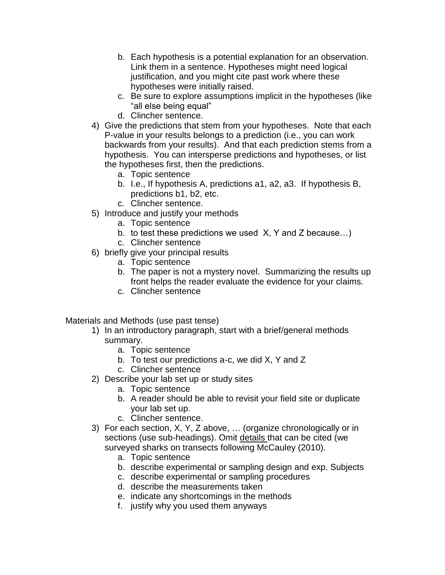- b. Each hypothesis is a potential explanation for an observation. Link them in a sentence. Hypotheses might need logical justification, and you might cite past work where these hypotheses were initially raised.
- c. Be sure to explore assumptions implicit in the hypotheses (like "all else being equal"
- d. Clincher sentence.
- 4) Give the predictions that stem from your hypotheses. Note that each P-value in your results belongs to a prediction (i.e., you can work backwards from your results). And that each prediction stems from a hypothesis. You can intersperse predictions and hypotheses, or list the hypotheses first, then the predictions.
	- a. Topic sentence
	- b. I.e., If hypothesis A, predictions a1, a2, a3. If hypothesis B, predictions b1, b2, etc.
	- c. Clincher sentence.
- 5) Introduce and justify your methods
	- a. Topic sentence
	- b. to test these predictions we used X, Y and Z because…)
	- c. Clincher sentence
- 6) briefly give your principal results
	- a. Topic sentence
	- b. The paper is not a mystery novel. Summarizing the results up front helps the reader evaluate the evidence for your claims.
	- c. Clincher sentence

Materials and Methods (use past tense)

- 1) In an introductory paragraph, start with a brief/general methods summary.
	- a. Topic sentence
	- b. To test our predictions a-c, we did X, Y and Z
	- c. Clincher sentence
- 2) Describe your lab set up or study sites
	- a. Topic sentence
	- b. A reader should be able to revisit your field site or duplicate your lab set up.
	- c. Clincher sentence.
- 3) For each section, X, Y, Z above, … (organize chronologically or in sections (use sub-headings). Omit details that can be cited (we surveyed sharks on transects following McCauley (2010).
	- a. Topic sentence
	- b. describe experimental or sampling design and exp. Subjects
	- c. describe experimental or sampling procedures
	- d. describe the measurements taken
	- e. indicate any shortcomings in the methods
	- f. justify why you used them anyways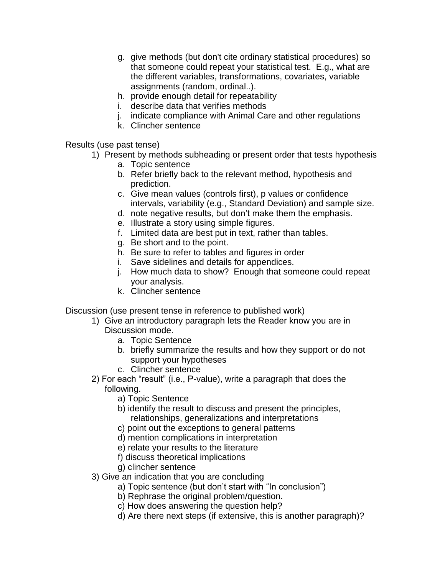- g. give methods (but don't cite ordinary statistical procedures) so that someone could repeat your statistical test. E.g., what are the different variables, transformations, covariates, variable assignments (random, ordinal..).
- h. provide enough detail for repeatability
- i. describe data that verifies methods
- j. indicate compliance with Animal Care and other regulations
- k. Clincher sentence

Results (use past tense)

- 1) Present by methods subheading or present order that tests hypothesis
	- a. Topic sentence
	- b. Refer briefly back to the relevant method, hypothesis and prediction.
	- c. Give mean values (controls first), p values or confidence intervals, variability (e.g., Standard Deviation) and sample size.
	- d. note negative results, but don't make them the emphasis.
	- e. Illustrate a story using simple figures.
	- f. Limited data are best put in text, rather than tables.
	- g. Be short and to the point.
	- h. Be sure to refer to tables and figures in order
	- i. Save sidelines and details for appendices.
	- j. How much data to show? Enough that someone could repeat your analysis.
	- k. Clincher sentence

Discussion (use present tense in reference to published work)

- 1) Give an introductory paragraph lets the Reader know you are in Discussion mode.
	- a. Topic Sentence
	- b. briefly summarize the results and how they support or do not support your hypotheses
	- c. Clincher sentence
- 2) For each "result" (i.e., P-value), write a paragraph that does the following.
	- a) Topic Sentence
	- b) identify the result to discuss and present the principles, relationships, generalizations and interpretations
	- c) point out the exceptions to general patterns
	- d) mention complications in interpretation
	- e) relate your results to the literature
	- f) discuss theoretical implications
	- g) clincher sentence
- 3) Give an indication that you are concluding
	- a) Topic sentence (but don't start with "In conclusion")
	- b) Rephrase the original problem/question.
	- c) How does answering the question help?
	- d) Are there next steps (if extensive, this is another paragraph)?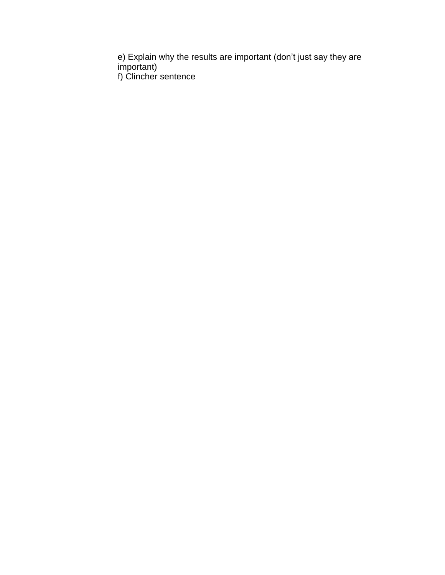e) Explain why the results are important (don't just say they are important) f) Clincher sentence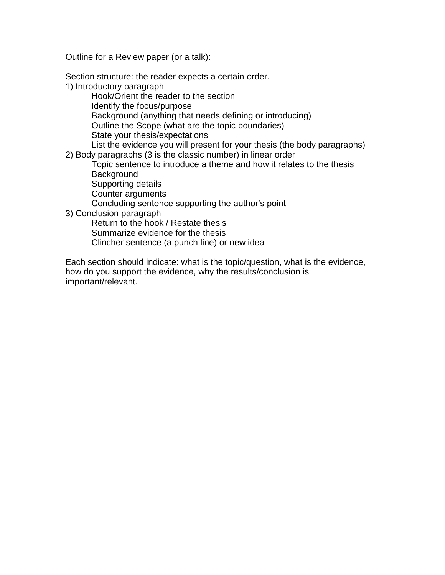Outline for a Review paper (or a talk):

Section structure: the reader expects a certain order.

1) Introductory paragraph

Hook/Orient the reader to the section Identify the focus/purpose Background (anything that needs defining or introducing) Outline the Scope (what are the topic boundaries) State your thesis/expectations List the evidence you will present for your thesis (the body paragraphs)

2) Body paragraphs (3 is the classic number) in linear order

Topic sentence to introduce a theme and how it relates to the thesis **Background** 

Supporting details

Counter arguments

Concluding sentence supporting the author's point

3) Conclusion paragraph

Return to the hook / Restate thesis

Summarize evidence for the thesis

Clincher sentence (a punch line) or new idea

Each section should indicate: what is the topic/question, what is the evidence, how do you support the evidence, why the results/conclusion is important/relevant.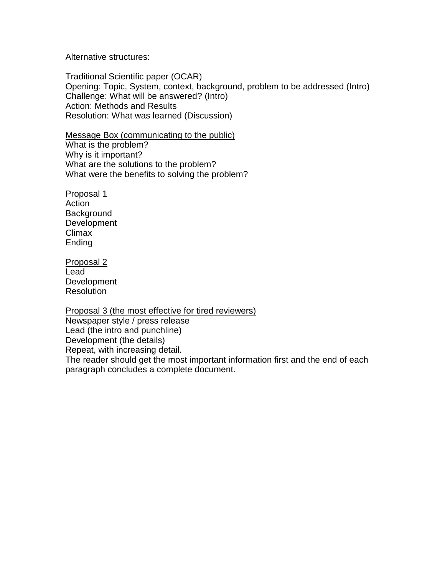Alternative structures:

Traditional Scientific paper (OCAR) Opening: Topic, System, context, background, problem to be addressed (Intro) Challenge: What will be answered? (Intro) Action: Methods and Results Resolution: What was learned (Discussion)

Message Box (communicating to the public) What is the problem? Why is it important? What are the solutions to the problem? What were the benefits to solving the problem?

Proposal 1 Action **Background** Development Climax Ending

Proposal 2 Lead Development **Resolution** 

Proposal 3 (the most effective for tired reviewers) Newspaper style / press release Lead (the intro and punchline) Development (the details) Repeat, with increasing detail. The reader should get the most important information first and the end of each paragraph concludes a complete document.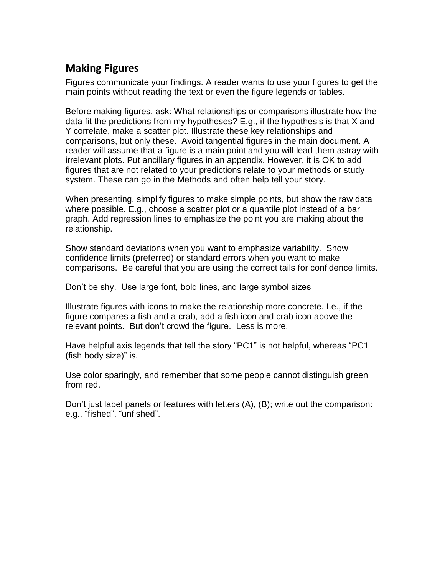## **Making Figures**

Figures communicate your findings. A reader wants to use your figures to get the main points without reading the text or even the figure legends or tables.

Before making figures, ask: What relationships or comparisons illustrate how the data fit the predictions from my hypotheses? E.g., if the hypothesis is that X and Y correlate, make a scatter plot. Illustrate these key relationships and comparisons, but only these. Avoid tangential figures in the main document. A reader will assume that a figure is a main point and you will lead them astray with irrelevant plots. Put ancillary figures in an appendix. However, it is OK to add figures that are not related to your predictions relate to your methods or study system. These can go in the Methods and often help tell your story.

When presenting, simplify figures to make simple points, but show the raw data where possible. E.g., choose a scatter plot or a quantile plot instead of a bar graph. Add regression lines to emphasize the point you are making about the relationship.

Show standard deviations when you want to emphasize variability. Show confidence limits (preferred) or standard errors when you want to make comparisons. Be careful that you are using the correct tails for confidence limits.

Don't be shy. Use large font, bold lines, and large symbol sizes

Illustrate figures with icons to make the relationship more concrete. I.e., if the figure compares a fish and a crab, add a fish icon and crab icon above the relevant points. But don't crowd the figure. Less is more.

Have helpful axis legends that tell the story "PC1" is not helpful, whereas "PC1 (fish body size)" is.

Use color sparingly, and remember that some people cannot distinguish green from red.

Don't just label panels or features with letters (A), (B); write out the comparison: e.g., "fished", "unfished".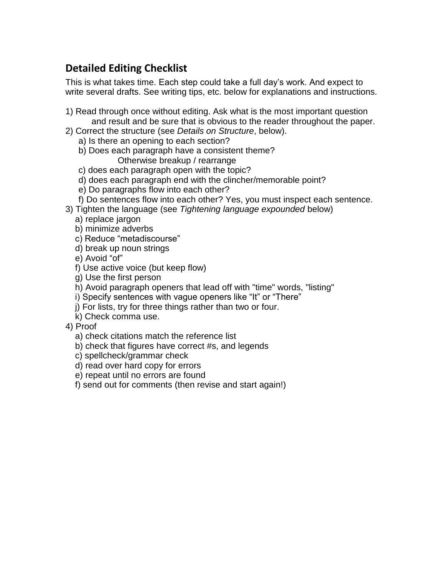# **Detailed Editing Checklist**

This is what takes time. Each step could take a full day's work. And expect to write several drafts. See writing tips, etc. below for explanations and instructions.

- 1) Read through once without editing. Ask what is the most important question and result and be sure that is obvious to the reader throughout the paper.
- 2) Correct the structure (see *Details on Structure*, below).
	- a) Is there an opening to each section?
	- b) Does each paragraph have a consistent theme? Otherwise breakup / rearrange
	- c) does each paragraph open with the topic?
	- d) does each paragraph end with the clincher/memorable point?
	- e) Do paragraphs flow into each other?
	- f) Do sentences flow into each other? Yes, you must inspect each sentence.
- 3) Tighten the language (see *Tightening language expounded* below)
	- a) replace jargon
	- b) minimize adverbs
	- c) Reduce "metadiscourse"
	- d) break up noun strings
	- e) Avoid "of"
	- f) Use active voice (but keep flow)
	- g) Use the first person
	- h) Avoid paragraph openers that lead off with "time" words, "listing"
	- i) Specify sentences with vague openers like "It" or "There"
	- j) For lists, try for three things rather than two or four.
	- k) Check comma use.
- 4) Proof
	- a) check citations match the reference list
	- b) check that figures have correct #s, and legends
	- c) spellcheck/grammar check
	- d) read over hard copy for errors
	- e) repeat until no errors are found
	- f) send out for comments (then revise and start again!)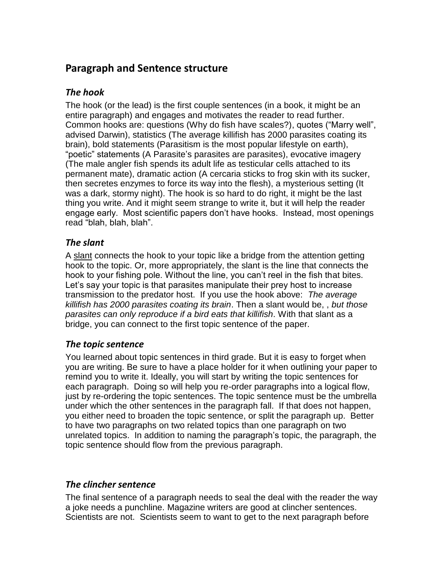### **Paragraph and Sentence structure**

### *The hook*

The hook (or the lead) is the first couple sentences (in a book, it might be an entire paragraph) and engages and motivates the reader to read further. Common hooks are: questions (Why do fish have scales?), quotes ("Marry well", advised Darwin), statistics (The average killifish has 2000 parasites coating its brain), bold statements (Parasitism is the most popular lifestyle on earth), "poetic" statements (A Parasite's parasites are parasites), evocative imagery (The male angler fish spends its adult life as testicular cells attached to its permanent mate), dramatic action (A cercaria sticks to frog skin with its sucker, then secretes enzymes to force its way into the flesh), a mysterious setting (It was a dark, stormy night). The hook is so hard to do right, it might be the last thing you write. And it might seem strange to write it, but it will help the reader engage early. Most scientific papers don't have hooks. Instead, most openings read "blah, blah, blah".

### *The slant*

A slant connects the hook to your topic like a bridge from the attention getting hook to the topic. Or, more appropriately, the slant is the line that connects the hook to your fishing pole. Without the line, you can't reel in the fish that bites. Let's say your topic is that parasites manipulate their prey host to increase transmission to the predator host. If you use the hook above: *The average killifish has 2000 parasites coating its brain*. Then a slant would be, , *but those parasites can only reproduce if a bird eats that killifish*. With that slant as a bridge, you can connect to the first topic sentence of the paper.

### *The topic sentence*

You learned about topic sentences in third grade. But it is easy to forget when you are writing. Be sure to have a place holder for it when outlining your paper to remind you to write it. Ideally, you will start by writing the topic sentences for each paragraph. Doing so will help you re-order paragraphs into a logical flow, just by re-ordering the topic sentences. The topic sentence must be the umbrella under which the other sentences in the paragraph fall. If that does not happen, you either need to broaden the topic sentence, or split the paragraph up. Better to have two paragraphs on two related topics than one paragraph on two unrelated topics. In addition to naming the paragraph's topic, the paragraph, the topic sentence should flow from the previous paragraph.

### *The clincher sentence*

The final sentence of a paragraph needs to seal the deal with the reader the way a joke needs a punchline. Magazine writers are good at clincher sentences. Scientists are not. Scientists seem to want to get to the next paragraph before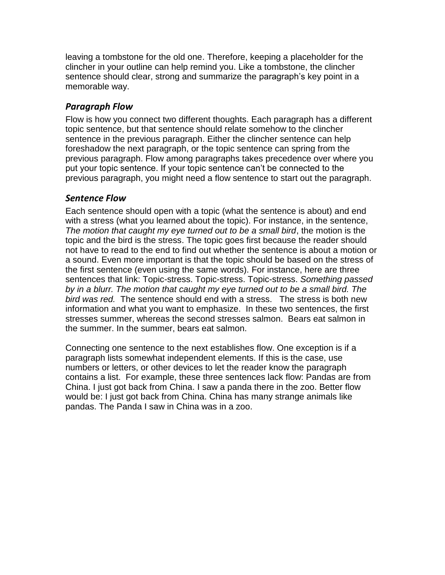leaving a tombstone for the old one. Therefore, keeping a placeholder for the clincher in your outline can help remind you. Like a tombstone, the clincher sentence should clear, strong and summarize the paragraph's key point in a memorable way.

#### *Paragraph Flow*

Flow is how you connect two different thoughts. Each paragraph has a different topic sentence, but that sentence should relate somehow to the clincher sentence in the previous paragraph. Either the clincher sentence can help foreshadow the next paragraph, or the topic sentence can spring from the previous paragraph. Flow among paragraphs takes precedence over where you put your topic sentence. If your topic sentence can't be connected to the previous paragraph, you might need a flow sentence to start out the paragraph.

#### *Sentence Flow*

Each sentence should open with a topic (what the sentence is about) and end with a stress (what you learned about the topic). For instance, in the sentence, *The motion that caught my eye turned out to be a small bird*, the motion is the topic and the bird is the stress. The topic goes first because the reader should not have to read to the end to find out whether the sentence is about a motion or a sound. Even more important is that the topic should be based on the stress of the first sentence (even using the same words). For instance, here are three sentences that link: Topic-stress. Topic-stress. Topic-stress. *Something passed by in a blurr. The motion that caught my eye turned out to be a small bird. The bird was red.* The sentence should end with a stress. The stress is both new information and what you want to emphasize. In these two sentences, the first stresses summer, whereas the second stresses salmon. Bears eat salmon in the summer. In the summer, bears eat salmon.

Connecting one sentence to the next establishes flow. One exception is if a paragraph lists somewhat independent elements. If this is the case, use numbers or letters, or other devices to let the reader know the paragraph contains a list. For example, these three sentences lack flow: Pandas are from China. I just got back from China. I saw a panda there in the zoo. Better flow would be: I just got back from China. China has many strange animals like pandas. The Panda I saw in China was in a zoo.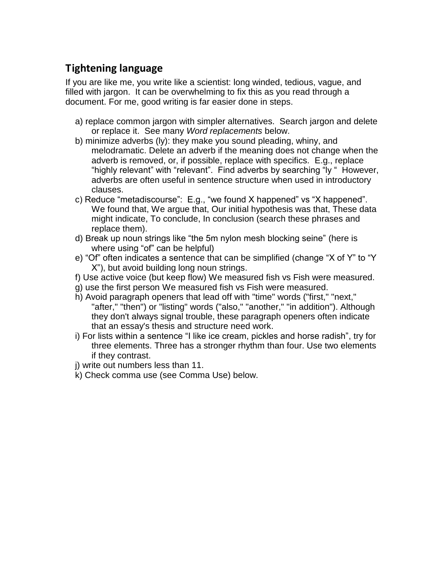## **Tightening language**

If you are like me, you write like a scientist: long winded, tedious, vague, and filled with jargon. It can be overwhelming to fix this as you read through a document. For me, good writing is far easier done in steps.

- a) replace common jargon with simpler alternatives. Search jargon and delete or replace it. See many *Word replacements* below.
- b) minimize adverbs (ly): they make you sound pleading, whiny, and melodramatic. Delete an adverb if the meaning does not change when the adverb is removed, or, if possible, replace with specifics. E.g., replace "highly relevant" with "relevant". Find adverbs by searching "ly " However, adverbs are often useful in sentence structure when used in introductory clauses.
- c) Reduce "metadiscourse": E.g., "we found X happened" vs "X happened". We found that, We argue that, Our initial hypothesis was that, These data might indicate, To conclude, In conclusion (search these phrases and replace them).
- d) Break up noun strings like "the 5m nylon mesh blocking seine" (here is where using "of" can be helpful)
- e) "Of" often indicates a sentence that can be simplified (change "X of Y" to "Y X"), but avoid building long noun strings.
- f) Use active voice (but keep flow) We measured fish vs Fish were measured.
- g) use the first person We measured fish vs Fish were measured.
- h) Avoid paragraph openers that lead off with "time" words ("first," "next," "after," "then") or "listing" words ("also," "another," "in addition"). Although they don't always signal trouble, these paragraph openers often indicate that an essay's thesis and structure need work.
- i) For lists within a sentence "I like ice cream, pickles and horse radish", try for three elements. Three has a stronger rhythm than four. Use two elements if they contrast.
- j) write out numbers less than 11.
- k) Check comma use (see Comma Use) below.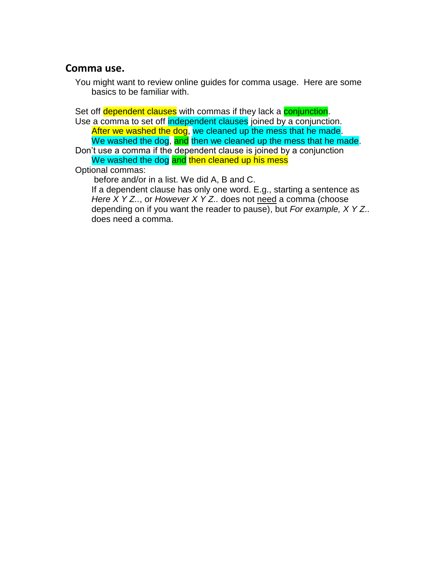### **Comma use.**

You might want to review online guides for comma usage. Here are some basics to be familiar with.

Set off dependent clauses with commas if they lack a conjunction.

Use a comma to set off independent clauses joined by a conjunction. After we washed the dog, we cleaned up the mess that he made. We washed the dog, and then we cleaned up the mess that he made.

Don't use a comma if the dependent clause is joined by a conjunction We washed the dog and then cleaned up his mess

Optional commas:

before and/or in a list. We did A, B and C.

If a dependent clause has only one word. E.g., starting a sentence as *Here X Y Z.., or However X Y Z..* does not need a comma (choose depending on if you want the reader to pause), but *For example, X Y Z..* does need a comma.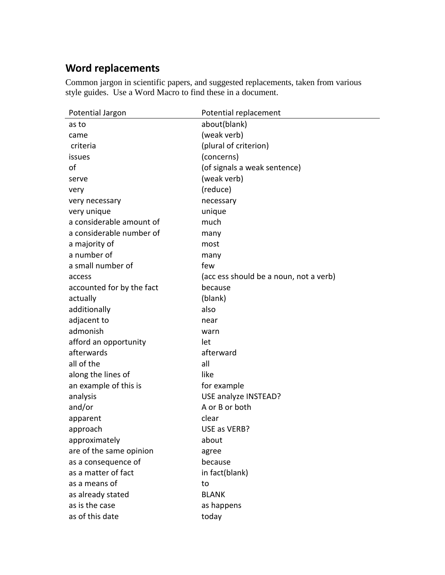# **Word replacements**

Common jargon in scientific papers, and suggested replacements, taken from various style guides. Use a Word Macro to find these in a document.

| Potential Jargon          | Potential replacement                  |
|---------------------------|----------------------------------------|
| as to                     | about(blank)                           |
| came                      | (weak verb)                            |
| criteria                  | (plural of criterion)                  |
| issues                    | (concerns)                             |
| оf                        | (of signals a weak sentence)           |
| serve                     | (weak verb)                            |
| very                      | (reduce)                               |
| very necessary            | necessary                              |
| very unique               | unique                                 |
| a considerable amount of  | much                                   |
| a considerable number of  | many                                   |
| a majority of             | most                                   |
| a number of               | many                                   |
| a small number of         | few                                    |
| access                    | (acc ess should be a noun, not a verb) |
| accounted for by the fact | because                                |
| actually                  | (blank)                                |
| additionally              | also                                   |
| adjacent to               | near                                   |
| admonish                  | warn                                   |
| afford an opportunity     | let                                    |
| afterwards                | afterward                              |
| all of the                | all                                    |
| along the lines of        | like                                   |
| an example of this is     | for example                            |
| analysis                  | USE analyze INSTEAD?                   |
| and/or                    | A or B or both                         |
| apparent                  | clear                                  |
| approach                  | USE as VERB?                           |
| approximately             | about                                  |
| are of the same opinion   | agree                                  |
| as a consequence of       | because                                |
| as a matter of fact       | in fact(blank)                         |
| as a means of             | to                                     |
| as already stated         | <b>BLANK</b>                           |
| as is the case            | as happens                             |
| as of this date           | today                                  |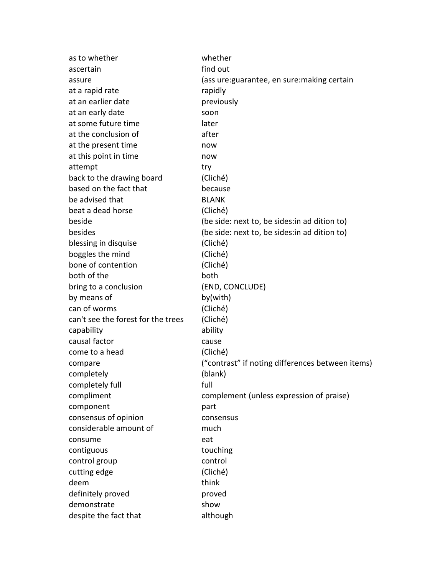| as to whether                      | whether                                          |
|------------------------------------|--------------------------------------------------|
| ascertain                          | find out                                         |
| assure                             | (ass ure: guarantee, en sure: making certain     |
| at a rapid rate                    | rapidly                                          |
| at an earlier date                 | previously                                       |
| at an early date                   | soon                                             |
| at some future time                | later                                            |
| at the conclusion of               | after                                            |
| at the present time                | now                                              |
| at this point in time              | now                                              |
| attempt                            | try                                              |
| back to the drawing board          | (Cliché)                                         |
| based on the fact that             | because                                          |
| be advised that                    | <b>BLANK</b>                                     |
| beat a dead horse                  | (Cliché)                                         |
| beside                             | (be side: next to, be sides: in ad dition to)    |
| besides                            | (be side: next to, be sides: in ad dition to)    |
| blessing in disquise               | (Cliché)                                         |
| boggles the mind                   | (Cliché)                                         |
| bone of contention                 | (Cliché)                                         |
| both of the                        | both                                             |
| bring to a conclusion              | (END, CONCLUDE)                                  |
| by means of                        | by(with)                                         |
| can of worms                       | (Cliché)                                         |
| can't see the forest for the trees | (Cliché)                                         |
| capability                         | ability                                          |
| causal factor                      | cause                                            |
| come to a head                     | (Cliché)                                         |
| compare                            | ("contrast" if noting differences between items) |
| completely                         | (blank)                                          |
| completely full                    | full                                             |
| compliment                         | complement (unless expression of praise)         |
| component                          | part                                             |
| consensus of opinion               | consensus                                        |
| considerable amount of             | much                                             |
| consume                            | eat                                              |
| contiguous                         | touching                                         |
| control group                      | control                                          |
| cutting edge                       | (Cliché)                                         |
| deem                               | think                                            |
| definitely proved                  | proved                                           |
| demonstrate                        | show                                             |
| despite the fact that              | although                                         |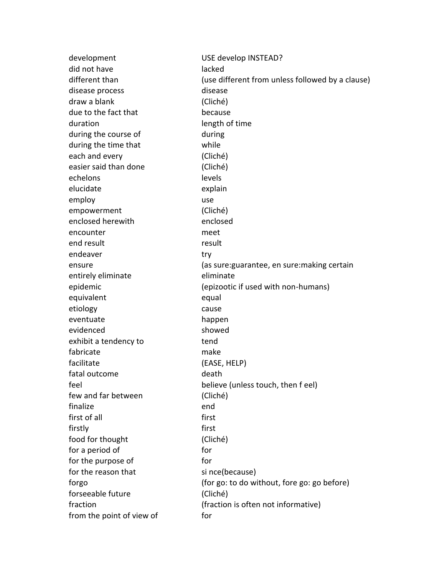development USE develop INSTEAD? did not have lacked different than  $(use different from unless followed by a clause)$ disease process and disease disease draw a blank (Cliché) due to the fact that because duration and the length of time during the course of during during the time that while each and every (Cliché) easier said than done (Cliché) echelons levels elucidate explain employ use use empowerment (Cliché) enclosed herewith enclosed encounter meet end result result endeaver try ensure (as sure:guarantee, en sure:making certain entirely eliminate eliminate epidemic (epizootic if used with non-humans) equivalent equal etiology cause eventuate happen evidenced showed exhibit a tendency to tend fabricate make facilitate (EASE, HELP) fatal outcome death feel believe (unless touch, then f eel) few and far between (Cliché) finalize end first of all **first** firstly first food for thought (Cliché) for a period of for for for the purpose of for for the reason that since(because) forgo (for go: to do without, fore go: go before) forseeable future (Cliché) fraction (fraction is often not informative) from the point of view of for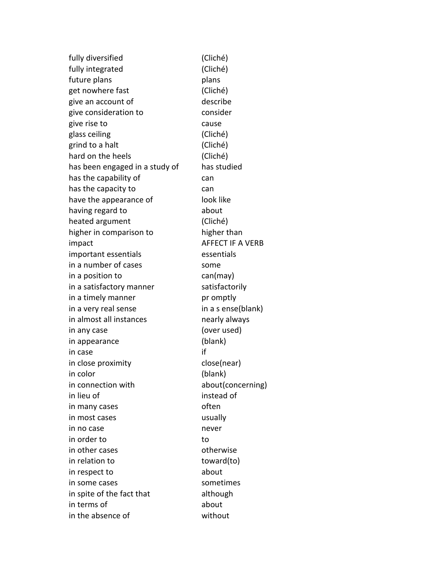fully diversified (Cliché) fully integrated (Cliché) future plans by the plans plans get nowhere fast (Cliché) give an account of describe give consideration to consider give rise to cause glass ceiling (Cliché) grind to a halt (Cliché) hard on the heels (Cliché) has been engaged in a study of has studied has the capability of the can has the capacity to be can have the appearance of look like having regard to about heated argument (Cliché) higher in comparison to higher than impact and a set of the AFFECT IF A VERB important essentials essentials in a number of cases some in a position to can(may) in a satisfactory manner satisfactorily in a timely manner and promptly in a very real sense in a s ense(blank) in almost all instances hearly always in any case (over used) in appearance (blank) in case if in close proximity example to close(near) in color (blank) in connection with about(concerning) in lieu of instead of in many cases often in most cases usually in no case never in order to to in other cases and the control otherwise in relation to toward(to) in respect to about in some cases sometimes in spite of the fact that although in terms of about in the absence of without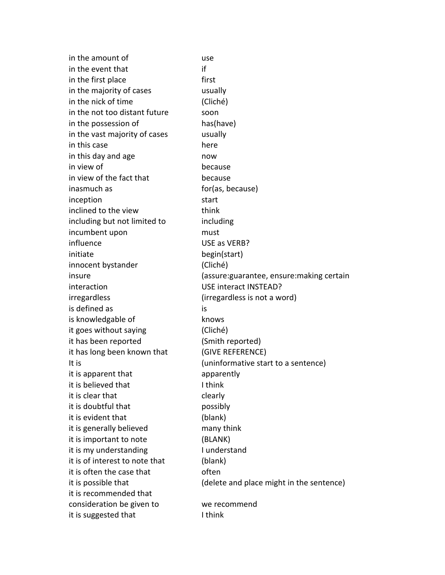in the amount of the use in the event that if in the first place first in the majority of cases usually in the nick of time (Cliché) in the not too distant future soon in the possession of has(have) in the vast majority of cases usually in this case here here in this day and age now in view of because in view of the fact that because inasmuch as for  $\left($ as, because) inception start inclined to the view think including but not limited to including incumbent upon must influence USE as VERB? initiate begin(start) innocent bystander (Cliché) interaction USE interact INSTEAD? irregardless (irregardless is not a word) is defined as is is knowledgable of knows it goes without saying (Cliché) it has been reported (Smith reported) it has long been known that (GIVE REFERENCE) It is  $(uninformative start to a sentence)$ it is apparent that apparently it is believed that Think it is clear that clearly it is doubtful that **possibly** it is evident that (blank) it is generally believed many think it is important to note (BLANK) it is my understanding Theory I understand it is of interest to note that (blank) it is often the case that The often it is possible that (delete and place might in the sentence) it is recommended that consideration be given to we recommend it is suggested that I think

insure (assure:guarantee, ensure:making certain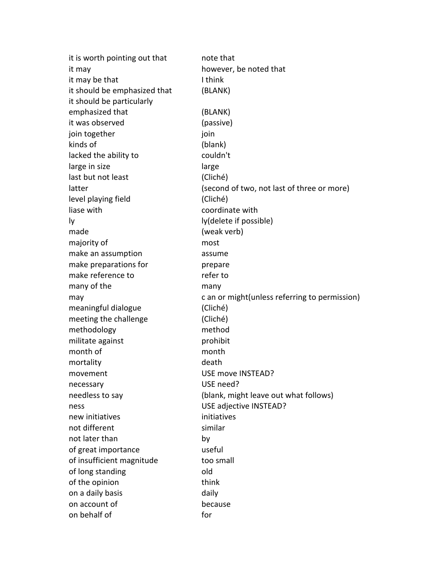| it is worth pointing out that | note that                                      |
|-------------------------------|------------------------------------------------|
| it may                        | however, be noted that                         |
| it may be that                | I think                                        |
| it should be emphasized that  | (BLANK)                                        |
| it should be particularly     |                                                |
| emphasized that               | (BLANK)                                        |
| it was observed               | (passive)                                      |
| join together                 | join                                           |
| kinds of                      | (blank)                                        |
| lacked the ability to         | couldn't                                       |
| large in size                 | large                                          |
| last but not least            | (Cliché)                                       |
| latter                        | (second of two, not last of three or more)     |
| level playing field           | (Cliché)                                       |
| liase with                    | coordinate with                                |
| ly.                           | ly(delete if possible)                         |
| made                          | (weak verb)                                    |
| majority of                   | most                                           |
| make an assumption            | assume                                         |
| make preparations for         | prepare                                        |
| make reference to             | refer to                                       |
| many of the                   | many                                           |
| may                           | c an or might (unless referring to permission) |
| meaningful dialogue           | (Cliché)                                       |
| meeting the challenge         | (Cliché)                                       |
| methodology                   | method                                         |
| militate against              | prohibit                                       |
| month of                      | month                                          |
| mortality                     | death                                          |
| movement                      | USE move INSTEAD?                              |
| necessary                     | USE need?                                      |
| needless to say               | (blank, might leave out what follows)          |
| ness                          | USE adjective INSTEAD?                         |
| new initiatives               | initiatives                                    |
| not different                 | similar                                        |
| not later than                | by                                             |
| of great importance           | useful                                         |
| of insufficient magnitude     | too small                                      |
| of long standing              | old                                            |
| of the opinion                | think                                          |
| on a daily basis              | daily                                          |
| on account of                 | because                                        |
| on behalf of                  | for                                            |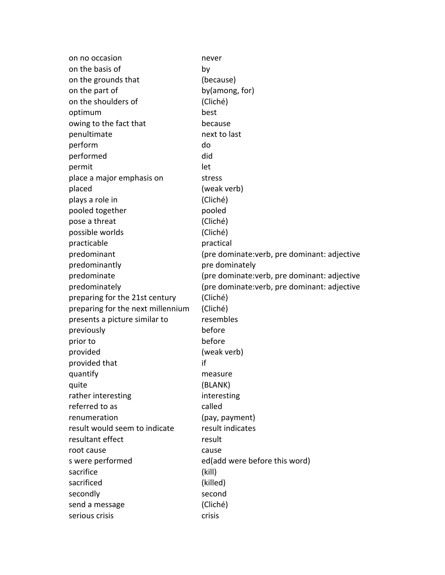| on no occasion                    | never                                        |
|-----------------------------------|----------------------------------------------|
| on the basis of                   | by                                           |
| on the grounds that               | (because)                                    |
| on the part of                    | by(among, for)                               |
| on the shoulders of               | (Cliché)                                     |
| optimum                           | best                                         |
| owing to the fact that            | because                                      |
| penultimate                       | next to last                                 |
| perform                           | do                                           |
| performed                         | did                                          |
| permit                            | let                                          |
| place a major emphasis on         | stress                                       |
| placed                            | (weak verb)                                  |
| plays a role in                   | (Cliché)                                     |
| pooled together                   | pooled                                       |
| pose a threat                     | (Cliché)                                     |
| possible worlds                   | (Cliché)                                     |
| practicable                       | practical                                    |
| predominant                       | (pre dominate: verb, pre dominant: adjective |
| predominantly                     | pre dominately                               |
| predominate                       | (pre dominate: verb, pre dominant: adjective |
| predominately                     | (pre dominate: verb, pre dominant: adjective |
| preparing for the 21st century    | (Cliché)                                     |
| preparing for the next millennium | (Cliché)                                     |
| presents a picture similar to     | resembles                                    |
| previously                        | before                                       |
| prior to                          | before                                       |
| provided                          | (weak verb)                                  |
| provided that                     | if                                           |
| quantify                          | measure                                      |
| quite                             | (BLANK)                                      |
| rather interesting                | interesting                                  |
| referred to as                    | called                                       |
| renumeration                      | (pay, payment)                               |
| result would seem to indicate     | result indicates                             |
| resultant effect                  | result                                       |
| root cause                        | cause                                        |
| s were performed                  | ed(add were before this word)                |
| sacrifice                         | (kill)                                       |
| sacrificed                        | (killed)                                     |
| secondly                          | second                                       |
| send a message                    | (Cliché)                                     |
| serious crisis                    | crisis                                       |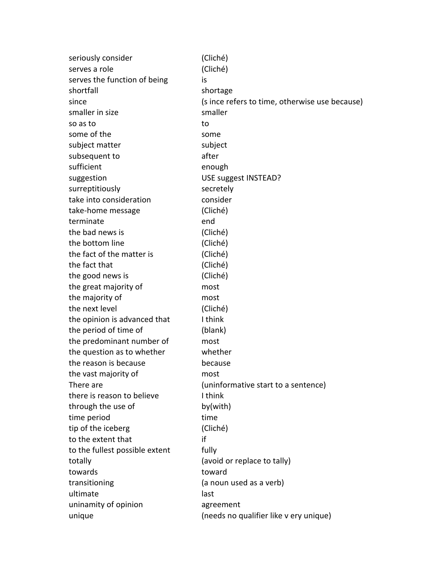| seriously consider             | (Cliché)                                       |
|--------------------------------|------------------------------------------------|
| serves a role                  | (Cliché)                                       |
| serves the function of being   | is                                             |
| shortfall                      | shortage                                       |
| since                          | (s ince refers to time, otherwise use because) |
| smaller in size                | smaller                                        |
| so as to                       | to                                             |
| some of the                    | some                                           |
| subject matter                 | subject                                        |
| subsequent to                  | after                                          |
| sufficient                     | enough                                         |
| suggestion                     | USE suggest INSTEAD?                           |
| surreptitiously                | secretely                                      |
| take into consideration        | consider                                       |
| take-home message              | (Cliché)                                       |
| terminate                      | end                                            |
| the bad news is                | (Cliché)                                       |
| the bottom line                | (Cliché)                                       |
| the fact of the matter is      | (Cliché)                                       |
| the fact that                  | (Cliché)                                       |
| the good news is               | (Cliché)                                       |
| the great majority of          | most                                           |
| the majority of                | most                                           |
| the next level                 | (Cliché)                                       |
| the opinion is advanced that   | I think                                        |
| the period of time of          | (blank)                                        |
| the predominant number of      | most                                           |
| the question as to whether     | whether                                        |
| the reason is because          | because                                        |
| the vast majority of           | most                                           |
| There are                      | (uninformative start to a sentence)            |
| there is reason to believe     | I think                                        |
| through the use of             | by(with)                                       |
| time period                    | time                                           |
| tip of the iceberg             | (Cliché)                                       |
| to the extent that             | if                                             |
| to the fullest possible extent | fully                                          |
| totally                        | (avoid or replace to tally)                    |
| towards                        | toward                                         |
| transitioning                  | (a noun used as a verb)                        |
| ultimate                       | last                                           |
| uninamity of opinion           | agreement                                      |
| unique                         | (needs no qualifier like v ery unique)         |